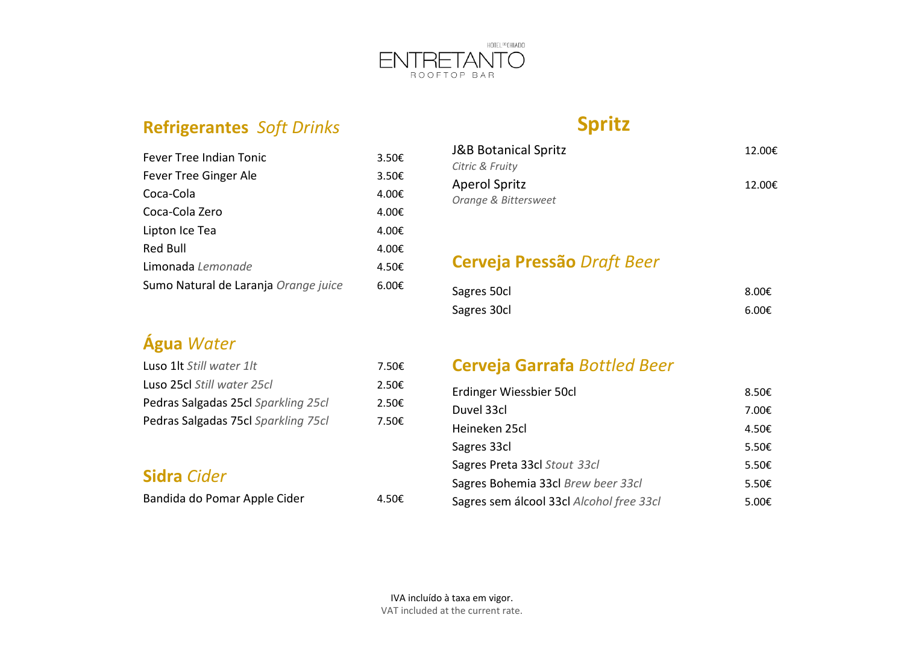

## **Refrigerantes** *Soft Drinks*

| Fever Tree Indian Tonic              | 3.50€ |
|--------------------------------------|-------|
| Fever Tree Ginger Ale                | 3.50€ |
| Coca-Cola                            | 4.00€ |
| Coca-Cola Zero                       | 4.00€ |
| Lipton Ice Tea                       | 4.00€ |
| Red Bull                             | 4.00€ |
| Limonada Lemonade                    | 4.50€ |
| Sumo Natural de Laranja Orange juice | 6.00€ |

## **Água** *Water*

| Luso 1lt Still water 1lt            | 7.50€           |
|-------------------------------------|-----------------|
| Luso 25cl Still water 25cl          | $2.50 \epsilon$ |
| Pedras Salgadas 25cl Sparkling 25cl | $2.50 \epsilon$ |
| Pedras Salgadas 75cl Sparkling 75cl | 7.50€           |

## **Sidra** *Cider*

Bandida do Pomar Apple Cider 4.50€

## **Spritz**

| J&B Botanical Spritz | 12.00€ |
|----------------------|--------|
| Citric & Fruity      |        |
| Aperol Spritz        | 12.00€ |
| Orange & Bittersweet |        |

## **Cerveja Pressão** *Draft Beer*

| Sagres 50cl | 8.00€           |
|-------------|-----------------|
| Sagres 30cl | $6.00 \epsilon$ |

## **Cerveja Garrafa** *Bottled Beer*

| Erdinger Wiessbier 50cl                  | 8.50€           |
|------------------------------------------|-----------------|
| Duvel 33cl                               | 7.00€           |
| Heineken 25cl                            | 4.50€           |
| Sagres 33cl                              | 5.50 $\epsilon$ |
| Sagres Preta 33cl Stout 33cl             | 5.50 $\epsilon$ |
| Sagres Bohemia 33cl Brew beer 33cl       | 5.50 $\epsilon$ |
| Sagres sem álcool 33cl Alcohol free 33cl | 5.00€           |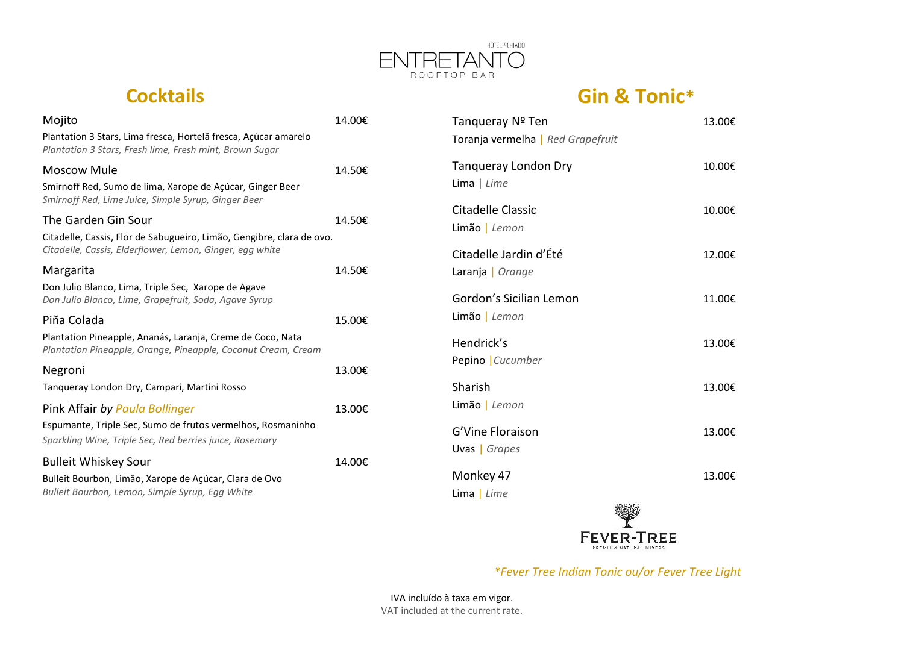

# **Cocktails**

## **Gin & Tonic\***

| Mojito                                                                                                                      | 14.00€ | Tangueray Nº Ten                  | 13.00€ |
|-----------------------------------------------------------------------------------------------------------------------------|--------|-----------------------------------|--------|
| Plantation 3 Stars, Lima fresca, Hortelã fresca, Açúcar amarelo<br>Plantation 3 Stars, Fresh lime, Fresh mint, Brown Sugar  |        | Toranja vermelha   Red Grapefruit |        |
| <b>Moscow Mule</b>                                                                                                          | 14.50€ | <b>Tanqueray London Dry</b>       | 10.00€ |
| Smirnoff Red, Sumo de lima, Xarope de Açúcar, Ginger Beer<br>Smirnoff Red, Lime Juice, Simple Syrup, Ginger Beer            |        | Lima $ $ Lime                     |        |
| The Garden Gin Sour                                                                                                         | 14.50€ | Citadelle Classic                 | 10.00€ |
| Citadelle, Cassis, Flor de Sabugueiro, Limão, Gengibre, clara de ovo.                                                       |        | Limão   Lemon                     |        |
| Citadelle, Cassis, Elderflower, Lemon, Ginger, egg white                                                                    |        | Citadelle Jardin d'Été            | 12.00€ |
| Margarita                                                                                                                   | 14.50€ | Laranja   Orange                  |        |
| Don Julio Blanco, Lima, Triple Sec, Xarope de Agave<br>Don Julio Blanco, Lime, Grapefruit, Soda, Agave Syrup                |        | Gordon's Sicilian Lemon           | 11.00€ |
| Piña Colada                                                                                                                 | 15.00€ | Limão   Lemon                     |        |
| Plantation Pineapple, Ananás, Laranja, Creme de Coco, Nata<br>Plantation Pineapple, Orange, Pineapple, Coconut Cream, Cream |        | Hendrick's                        | 13.00€ |
| Negroni                                                                                                                     | 13.00€ | Pepino   Cucumber                 |        |
| Tangueray London Dry, Campari, Martini Rosso                                                                                |        | Sharish                           | 13.00€ |
| Pink Affair by Paula Bollinger                                                                                              | 13.00€ | Limão   Lemon                     |        |
| Espumante, Triple Sec, Sumo de frutos vermelhos, Rosmaninho                                                                 |        | G'Vine Floraison                  | 13.00€ |
| Sparkling Wine, Triple Sec, Red berries juice, Rosemary                                                                     |        | Uvas   Grapes                     |        |
| <b>Bulleit Whiskey Sour</b>                                                                                                 | 14.00€ |                                   |        |
| Bulleit Bourbon, Limão, Xarope de Açúcar, Clara de Ovo                                                                      |        | Monkey 47                         | 13.00€ |
| Bulleit Bourbon, Lemon, Simple Syrup, Egg White                                                                             |        | Lima $ $ Lime                     |        |
|                                                                                                                             |        |                                   | 旅客保持   |



*\*Fever Tree Indian Tonic ou/or Fever Tree Light*

IVA incluído à taxa em vigor. VAT included at the current rate.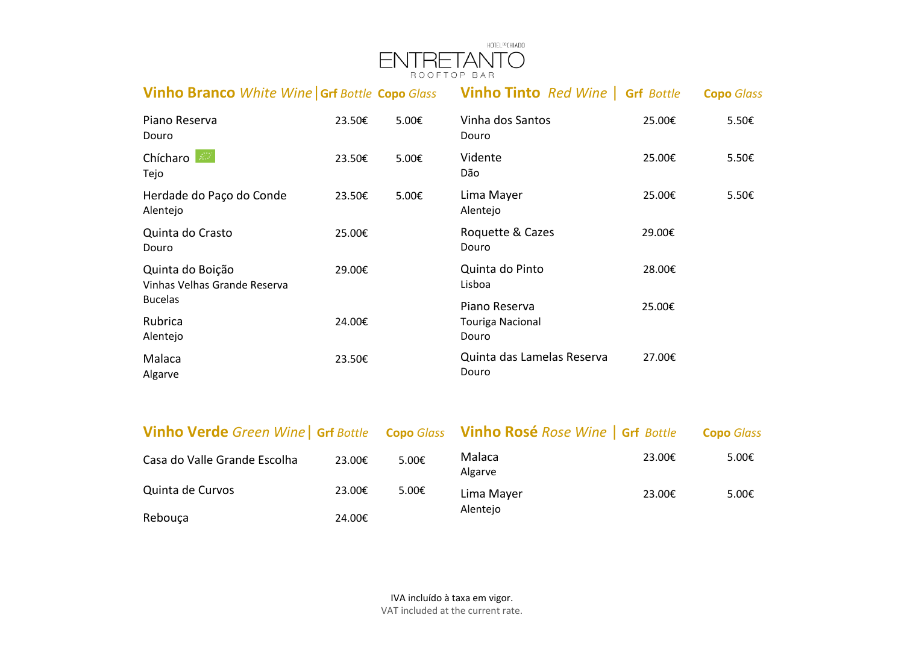

| <b>Vinho Branco</b> White Wine Grf Bottle Copo Glass |        |                 | <b>Vinho Tinto</b> Red Wine   Grf Bottle   |        | <b>Copo</b> Glass |
|------------------------------------------------------|--------|-----------------|--------------------------------------------|--------|-------------------|
| Piano Reserva<br>Douro                               | 23.50€ | $5.00 \epsilon$ | Vinha dos Santos<br>Douro                  | 25.00€ | $5.50 \epsilon$   |
| Chícharo<br>Tejo                                     | 23.50€ | 5.00€           | Vidente<br>Dão                             | 25.00€ | 5.50€             |
| Herdade do Paço do Conde<br>Alentejo                 | 23.50€ | $5.00 \epsilon$ | Lima Mayer<br>Alentejo                     | 25.00€ | 5.50€             |
| Quinta do Crasto<br>Douro                            | 25.00€ |                 | Roquette & Cazes<br>Douro                  | 29.00€ |                   |
| Quinta do Boição<br>Vinhas Velhas Grande Reserva     | 29.00€ |                 | Quinta do Pinto<br>Lisboa                  | 28.00€ |                   |
| <b>Bucelas</b><br>Rubrica<br>Alentejo                | 24.00€ |                 | Piano Reserva<br>Touriga Nacional<br>Douro | 25.00€ |                   |
| Malaca<br>Algarve                                    | 23.50€ |                 | Quinta das Lamelas Reserva<br>Douro        | 27.00€ |                   |

| <b>Vinho Verde</b> Green Wine   Grf Bottle Copo Glass Vinho Rosé Rose Wine   Grf Bottle |        |                 |                   |        | <b>Copo</b> Glass |  |
|-----------------------------------------------------------------------------------------|--------|-----------------|-------------------|--------|-------------------|--|
| Casa do Valle Grande Escolha                                                            | 23.00€ | $5.00 \epsilon$ | Malaca<br>Algarve | 23.00€ | 5.00 $\epsilon$   |  |
| Quinta de Curvos                                                                        | 23.00€ | 5.00€           | Lima Mayer        | 23.00€ | 5.00 $\epsilon$   |  |
| Rebouça                                                                                 | 24.00€ |                 | Alentejo          |        |                   |  |

IVA incluído à taxa em vigor. VAT included at the current rate.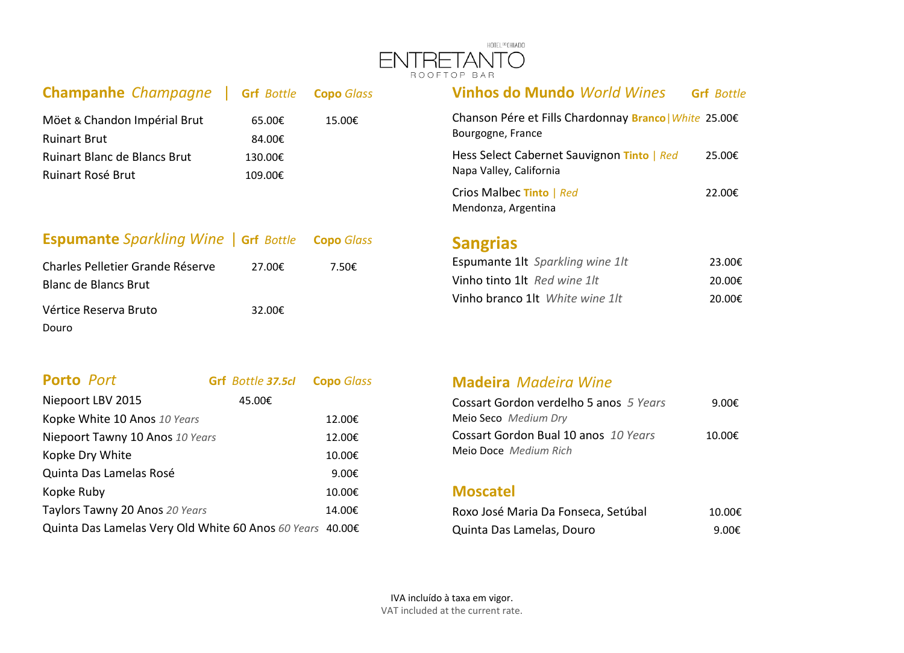

| <b>Champanhe Champagne</b>   Grf Bottle Copo Glass  |                    |        | <b>Vinhos do Mundo World Wines</b>                                          | <b>Grf</b> Bottle |
|-----------------------------------------------------|--------------------|--------|-----------------------------------------------------------------------------|-------------------|
| Möet & Chandon Impérial Brut<br><b>Ruinart Brut</b> | 65.00€<br>84.00€   | 15.00€ | Chanson Pére et Fills Chardonnay Branco   White 25.00€<br>Bourgogne, France |                   |
| Ruinart Blanc de Blancs Brut<br>Ruinart Rosé Brut   | 130.00€<br>109.00€ |        | Hess Select Cabernet Sauvignon Tinto   Red<br>Napa Valley, California       | 25.00€            |
|                                                     |                    |        | Crios Malbec Tinto   Red<br>Mandonza Argentina                              | 22.00€            |

### **Espumante** *Sparkling Wine* | **Grf** *Bottle* **Copo** *Glass*

| Charles Pelletier Grande Réserve | 27.00€ | 7.50€ |
|----------------------------------|--------|-------|
| <b>Blanc de Blancs Brut</b>      |        |       |
| Vértice Reserva Bruto            | 32.00€ |       |
| Douro                            |        |       |

| <b>Porto Port</b>                                         | Grf Bottle 37.5cl | <b>Copo</b> Glass |
|-----------------------------------------------------------|-------------------|-------------------|
| Niepoort LBV 2015                                         | 45.00€            |                   |
| Kopke White 10 Anos 10 Years                              |                   | 12.00€            |
| Niepoort Tawny 10 Anos 10 Years                           |                   | 12.00€            |
| Kopke Dry White                                           |                   | 10.00€            |
| Quinta Das Lamelas Rosé                                   |                   | 9.00€             |
| Kopke Ruby                                                |                   | 10.00€            |
| Taylors Tawny 20 Anos 20 Years                            |                   | 14.00€            |
| Quinta Das Lamelas Very Old White 60 Anos 60 Years 40.00€ |                   |                   |

| <b>Vinhos do Mundo World Wines</b>                                          | <b>Grf</b> Bottle |
|-----------------------------------------------------------------------------|-------------------|
| Chanson Pére et Fills Chardonnay Branco   White 25.00€<br>Bourgogne, France |                   |
| Hess Select Cabernet Sauvignon Tinto   Red<br>Napa Valley, California       | 25.00€            |
| Crios Malbec Tinto   Red<br>Mendonza, Argentina                             | 22.00€            |

## **Sangrias**

| <b>Espumante 1lt</b> Sparkling wine 1lt | 23.00€ |
|-----------------------------------------|--------|
| Vinho tinto 1lt Red wine 1lt            | 20.00€ |
| Vinho branco 1lt White wine 1lt         | 20.00€ |

### **Madeira** *Madeira Wine*

| Cossart Gordon verdelho 5 anos 5 Years | 9.00€  |
|----------------------------------------|--------|
| Meio Seco Medium Dry                   |        |
| Cossart Gordon Bual 10 anos 10 Years   | 10.00€ |
| <b>Meio Doce</b> Medium Rich           |        |

#### **Moscatel**

| Roxo José Maria Da Fonseca, Setúbal | 10.00€ |
|-------------------------------------|--------|
| Quinta Das Lamelas, Douro           | 9.00€  |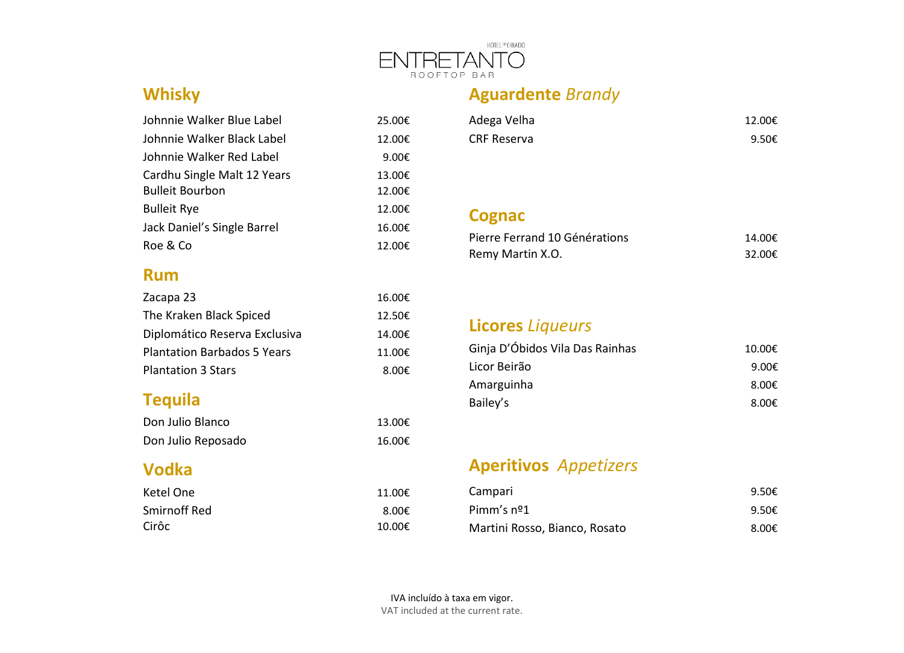

## **Whisky**

| Johnnie Walker Blue Label   | 25.00€ |
|-----------------------------|--------|
| Johnnie Walker Black Label  | 12.00€ |
| Johnnie Walker Red Label    | 9.00€  |
| Cardhu Single Malt 12 Years | 13.00€ |
| <b>Bulleit Bourbon</b>      | 12.00€ |
| <b>Bulleit Rye</b>          | 12.00€ |
| Jack Daniel's Single Barrel | 16.00€ |
| Roe & Co                    | 12.00€ |

### **Rum**

| Zacapa 23                          | 16.00€ |
|------------------------------------|--------|
| The Kraken Black Spiced            | 12.50€ |
| Diplomático Reserva Exclusiva      | 14.00€ |
| <b>Plantation Barbados 5 Years</b> | 11.00€ |
| <b>Plantation 3 Stars</b>          | 8.00€  |

## **Tequila**

| Don Julio Blanco   | 13.00€ |
|--------------------|--------|
| Don Julio Reposado | 16.00€ |

### **Vodka**

| Ketel One    | 11.00€ |
|--------------|--------|
| Smirnoff Red | 8.00€  |
| Cirôc        | 10.00€ |

| Adega Velha        | 12.00€ |
|--------------------|--------|
| <b>CRF Reserva</b> | 9.50€  |

### **Cognac**

| Pierre Ferrand 10 Générations | 14.00€ |
|-------------------------------|--------|
| Remy Martin X.O.              | 32.00€ |

## **Licores** *Liqueurs*

**Aguardente** *Brandy*

| Ginja D'Óbidos Vila Das Rainhas | 10.00€          |
|---------------------------------|-----------------|
| Licor Beirão                    | 9.00€           |
| Amarguinha                      | 8.00€           |
| Bailey's                        | 8.00 $\epsilon$ |

## **Aperitivos** *Appetizers*

| Campari                       | 9.50€ |
|-------------------------------|-------|
| Pimm's $n^2$ 1                | 9.50€ |
| Martini Rosso, Bianco, Rosato | 8.00€ |

IVA incluído à taxa em vigor. VAT included at the current rate.